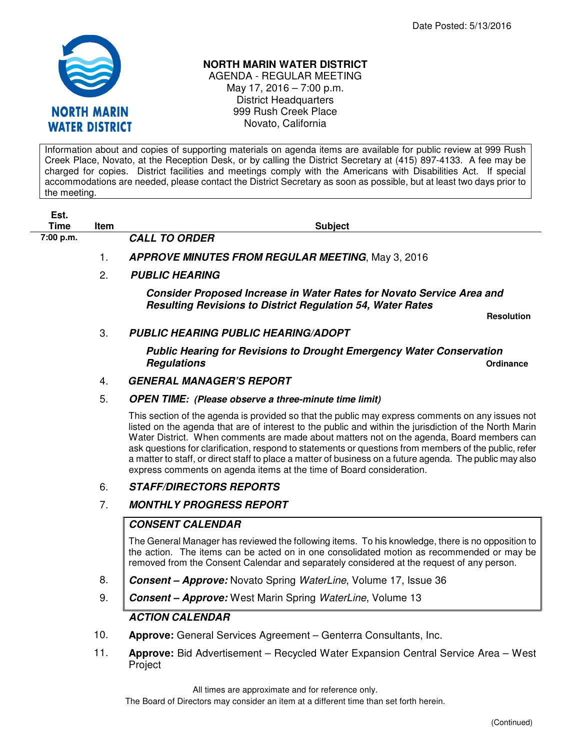

# **NORTH MARIN WATER DISTRICT**

AGENDA - REGULAR MEETING May 17, 2016 – 7:00 p.m. District Headquarters 999 Rush Creek Place Novato, California

Information about and copies of supporting materials on agenda items are available for public review at 999 Rush Creek Place, Novato, at the Reception Desk, or by calling the District Secretary at (415) 897-4133. A fee may be charged for copies. District facilities and meetings comply with the Americans with Disabilities Act. If special accommodations are needed, please contact the District Secretary as soon as possible, but at least two days prior to the meeting.

| Est.      |      |                                                                                                                                            |
|-----------|------|--------------------------------------------------------------------------------------------------------------------------------------------|
| Time      | Item | <b>Subject</b>                                                                                                                             |
| 7:00 p.m. |      | <b>CALL TO ORDER</b>                                                                                                                       |
|           |      | <b>APPROVE MINUTES FROM REGULAR MEETING, May 3, 2016</b>                                                                                   |
|           | 2.   | <b>PUBLIC HEARING</b>                                                                                                                      |
|           |      | Consider Proposed Increase in Water Rates for Novato Service Area and<br><b>Resulting Revisions to District Regulation 54, Water Rates</b> |

 **Resolution**

3. **PUBLIC HEARING PUBLIC HEARING/ADOPT** 

**Public Hearing for Revisions to Drought Emergency Water Conservation Regulations Constanting Constanting Constanting Constanting Constanting Constanting Constanting Constanting Constanting Constanting Constanting Constanting Constanting Constanting Constanting Constanting Constanting Con** 

## 4. **GENERAL MANAGER'S REPORT**

#### 5. **OPEN TIME: (Please observe a three-minute time limit)**

This section of the agenda is provided so that the public may express comments on any issues not listed on the agenda that are of interest to the public and within the jurisdiction of the North Marin Water District. When comments are made about matters not on the agenda, Board members can ask questions for clarification, respond to statements or questions from members of the public, refer a matter to staff, or direct staff to place a matter of business on a future agenda. The public may also express comments on agenda items at the time of Board consideration.

## 6. **STAFF/DIRECTORS REPORTS**

## 7. **MONTHLY PROGRESS REPORT**

## **CONSENT CALENDAR**

The General Manager has reviewed the following items. To his knowledge, there is no opposition to the action. The items can be acted on in one consolidated motion as recommended or may be removed from the Consent Calendar and separately considered at the request of any person.

- 8. **Consent Approve:** Novato Spring WaterLine, Volume 17, Issue 36
- 9. **Consent Approve:** West Marin Spring WaterLine, Volume 13

## **ACTION CALENDAR**

- 10. **Approve:** General Services Agreement Genterra Consultants, Inc.
- 11. **Approve:** Bid Advertisement Recycled Water Expansion Central Service Area West **Project**

All times are approximate and for reference only.

The Board of Directors may consider an item at a different time than set forth herein.